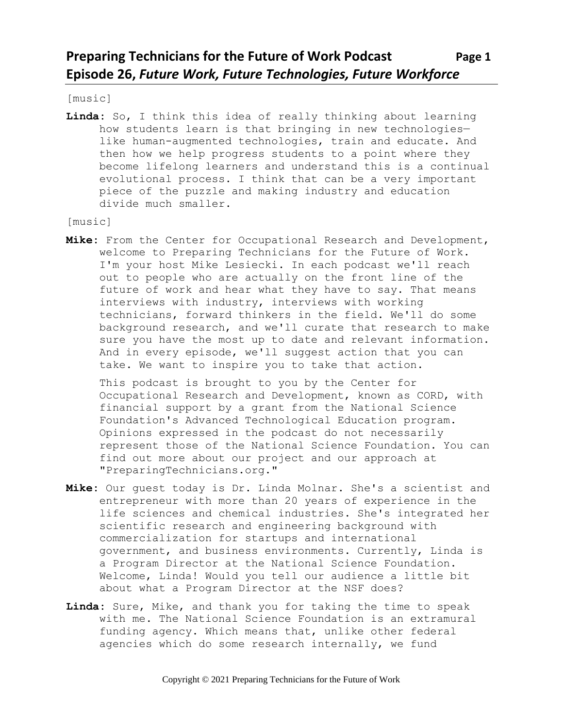[music]

**Linda:** So, I think this idea of really thinking about learning how students learn is that bringing in new technologies like human-augmented technologies, train and educate. And then how we help progress students to a point where they become lifelong learners and understand this is a continual evolutional process. I think that can be a very important piece of the puzzle and making industry and education divide much smaller.

[music]

**Mike:** From the Center for Occupational Research and Development, welcome to Preparing Technicians for the Future of Work. I'm your host Mike Lesiecki. In each podcast we'll reach out to people who are actually on the front line of the future of work and hear what they have to say. That means interviews with industry, interviews with working technicians, forward thinkers in the field. We'll do some background research, and we'll curate that research to make sure you have the most up to date and relevant information. And in every episode, we'll suggest action that you can take. We want to inspire you to take that action.

This podcast is brought to you by the Center for Occupational Research and Development, known as CORD, with financial support by a grant from the National Science Foundation's Advanced Technological Education program. Opinions expressed in the podcast do not necessarily represent those of the National Science Foundation. You can find out more about our project and our approach at "PreparingTechnicians.org."

- **Mike:** Our guest today is Dr. Linda Molnar. She's a scientist and entrepreneur with more than 20 years of experience in the life sciences and chemical industries. She's integrated her scientific research and engineering background with commercialization for startups and international government, and business environments. Currently, Linda is a Program Director at the National Science Foundation. Welcome, Linda! Would you tell our audience a little bit about what a Program Director at the NSF does?
- **Linda:** Sure, Mike, and thank you for taking the time to speak with me. The National Science Foundation is an extramural funding agency. Which means that, unlike other federal agencies which do some research internally, we fund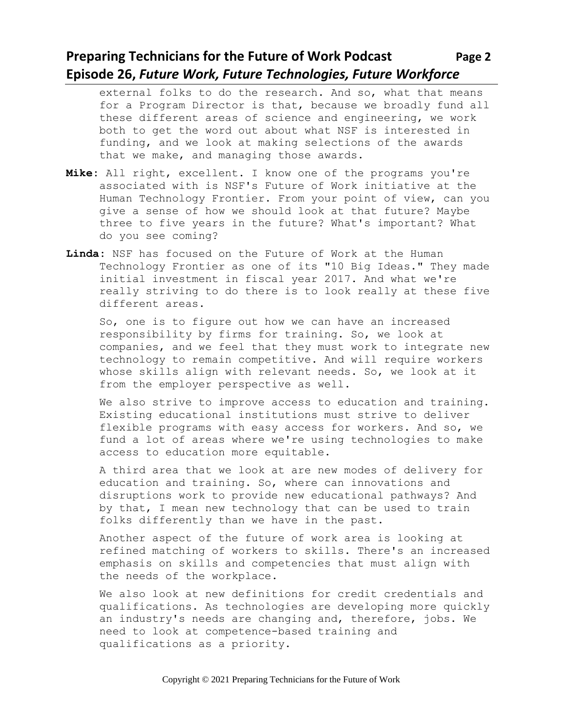#### **Preparing Technicians for the Future of Work Podcast Page 2 Episode 26,** *Future Work, Future Technologies, Future Workforce*

external folks to do the research. And so, what that means for a Program Director is that, because we broadly fund all these different areas of science and engineering, we work both to get the word out about what NSF is interested in funding, and we look at making selections of the awards that we make, and managing those awards.

- **Mike:** All right, excellent. I know one of the programs you're associated with is NSF's Future of Work initiative at the Human Technology Frontier. From your point of view, can you give a sense of how we should look at that future? Maybe three to five years in the future? What's important? What do you see coming?
- **Linda:** NSF has focused on the Future of Work at the Human Technology Frontier as one of its "10 Big Ideas." They made initial investment in fiscal year 2017. And what we're really striving to do there is to look really at these five different areas.

So, one is to figure out how we can have an increased responsibility by firms for training. So, we look at companies, and we feel that they must work to integrate new technology to remain competitive. And will require workers whose skills align with relevant needs. So, we look at it from the employer perspective as well.

We also strive to improve access to education and training. Existing educational institutions must strive to deliver flexible programs with easy access for workers. And so, we fund a lot of areas where we're using technologies to make access to education more equitable.

A third area that we look at are new modes of delivery for education and training. So, where can innovations and disruptions work to provide new educational pathways? And by that, I mean new technology that can be used to train folks differently than we have in the past.

Another aspect of the future of work area is looking at refined matching of workers to skills. There's an increased emphasis on skills and competencies that must align with the needs of the workplace.

We also look at new definitions for credit credentials and qualifications. As technologies are developing more quickly an industry's needs are changing and, therefore, jobs. We need to look at competence-based training and qualifications as a priority.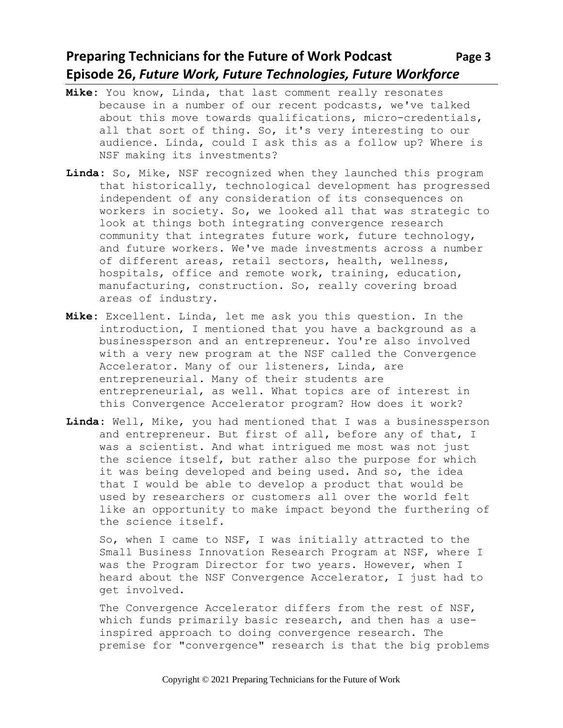## **Preparing Technicians for the Future of Work Podcast Page 3 Episode 26,** *Future Work, Future Technologies, Future Workforce*

- **Mike:** You know, Linda, that last comment really resonates because in a number of our recent podcasts, we've talked about this move towards qualifications, micro-credentials, all that sort of thing. So, it's very interesting to our audience. Linda, could I ask this as a follow up? Where is NSF making its investments?
- **Linda:** So, Mike, NSF recognized when they launched this program that historically, technological development has progressed independent of any consideration of its consequences on workers in society. So, we looked all that was strategic to look at things both integrating convergence research community that integrates future work, future technology, and future workers. We've made investments across a number of different areas, retail sectors, health, wellness, hospitals, office and remote work, training, education, manufacturing, construction. So, really covering broad areas of industry.
- **Mike:** Excellent. Linda, let me ask you this question. In the introduction, I mentioned that you have a background as a businessperson and an entrepreneur. You're also involved with a very new program at the NSF called the Convergence Accelerator. Many of our listeners, Linda, are entrepreneurial. Many of their students are entrepreneurial, as well. What topics are of interest in this Convergence Accelerator program? How does it work?
- **Linda:** Well, Mike, you had mentioned that I was a businessperson and entrepreneur. But first of all, before any of that, I was a scientist. And what intrigued me most was not just the science itself, but rather also the purpose for which it was being developed and being used. And so, the idea that I would be able to develop a product that would be used by researchers or customers all over the world felt like an opportunity to make impact beyond the furthering of the science itself.

So, when I came to NSF, I was initially attracted to the Small Business Innovation Research Program at NSF, where I was the Program Director for two years. However, when I heard about the NSF Convergence Accelerator, I just had to get involved.

The Convergence Accelerator differs from the rest of NSF, which funds primarily basic research, and then has a useinspired approach to doing convergence research. The premise for "convergence" research is that the big problems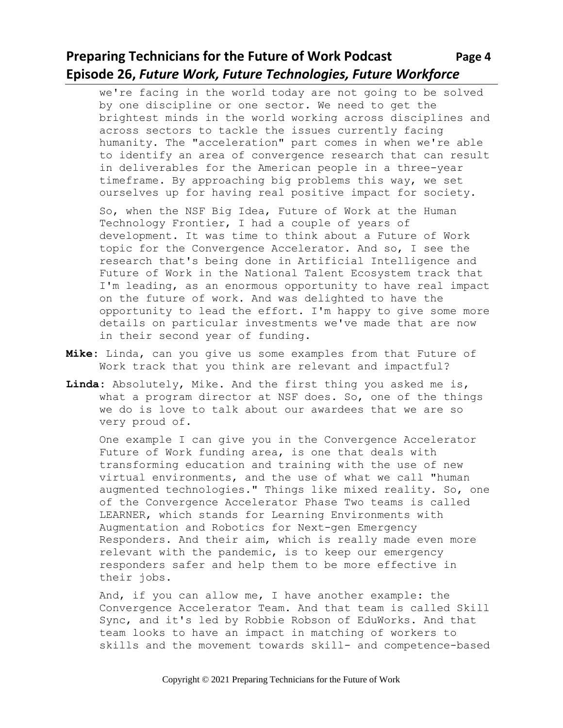# **Preparing Technicians for the Future of Work Podcast Page 4 Episode 26,** *Future Work, Future Technologies, Future Workforce*

we're facing in the world today are not going to be solved by one discipline or one sector. We need to get the brightest minds in the world working across disciplines and across sectors to tackle the issues currently facing humanity. The "acceleration" part comes in when we're able to identify an area of convergence research that can result in deliverables for the American people in a three-year timeframe. By approaching big problems this way, we set ourselves up for having real positive impact for society.

So, when the NSF Big Idea, Future of Work at the Human Technology Frontier, I had a couple of years of development. It was time to think about a Future of Work topic for the Convergence Accelerator. And so, I see the research that's being done in Artificial Intelligence and Future of Work in the National Talent Ecosystem track that I'm leading, as an enormous opportunity to have real impact on the future of work. And was delighted to have the opportunity to lead the effort. I'm happy to give some more details on particular investments we've made that are now in their second year of funding.

- **Mike:** Linda, can you give us some examples from that Future of Work track that you think are relevant and impactful?
- **Linda:** Absolutely, Mike. And the first thing you asked me is, what a program director at NSF does. So, one of the things we do is love to talk about our awardees that we are so very proud of.

One example I can give you in the Convergence Accelerator Future of Work funding area, is one that deals with transforming education and training with the use of new virtual environments, and the use of what we call "human augmented technologies." Things like mixed reality. So, one of the Convergence Accelerator Phase Two teams is called LEARNER, which stands for Learning Environments with Augmentation and Robotics for Next-gen Emergency Responders. And their aim, which is really made even more relevant with the pandemic, is to keep our emergency responders safer and help them to be more effective in their jobs.

And, if you can allow me, I have another example: the Convergence Accelerator Team. And that team is called Skill Sync, and it's led by Robbie Robson of EduWorks. And that team looks to have an impact in matching of workers to skills and the movement towards skill- and competence-based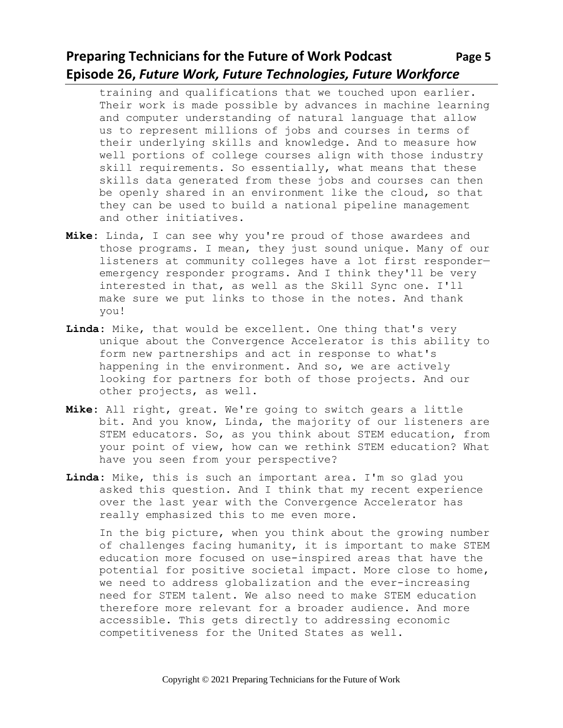# **Preparing Technicians for the Future of Work Podcast Page 5 Episode 26,** *Future Work, Future Technologies, Future Workforce*

training and qualifications that we touched upon earlier. Their work is made possible by advances in machine learning and computer understanding of natural language that allow us to represent millions of jobs and courses in terms of their underlying skills and knowledge. And to measure how well portions of college courses align with those industry skill requirements. So essentially, what means that these skills data generated from these jobs and courses can then be openly shared in an environment like the cloud, so that they can be used to build a national pipeline management and other initiatives.

- **Mike:** Linda, I can see why you're proud of those awardees and those programs. I mean, they just sound unique. Many of our listeners at community colleges have a lot first responder emergency responder programs. And I think they'll be very interested in that, as well as the Skill Sync one. I'll make sure we put links to those in the notes. And thank you!
- **Linda:** Mike, that would be excellent. One thing that's very unique about the Convergence Accelerator is this ability to form new partnerships and act in response to what's happening in the environment. And so, we are actively looking for partners for both of those projects. And our other projects, as well.
- **Mike:** All right, great. We're going to switch gears a little bit. And you know, Linda, the majority of our listeners are STEM educators. So, as you think about STEM education, from your point of view, how can we rethink STEM education? What have you seen from your perspective?
- **Linda:** Mike, this is such an important area. I'm so glad you asked this question. And I think that my recent experience over the last year with the Convergence Accelerator has really emphasized this to me even more.

In the big picture, when you think about the growing number of challenges facing humanity, it is important to make STEM education more focused on use-inspired areas that have the potential for positive societal impact. More close to home, we need to address globalization and the ever-increasing need for STEM talent. We also need to make STEM education therefore more relevant for a broader audience. And more accessible. This gets directly to addressing economic competitiveness for the United States as well.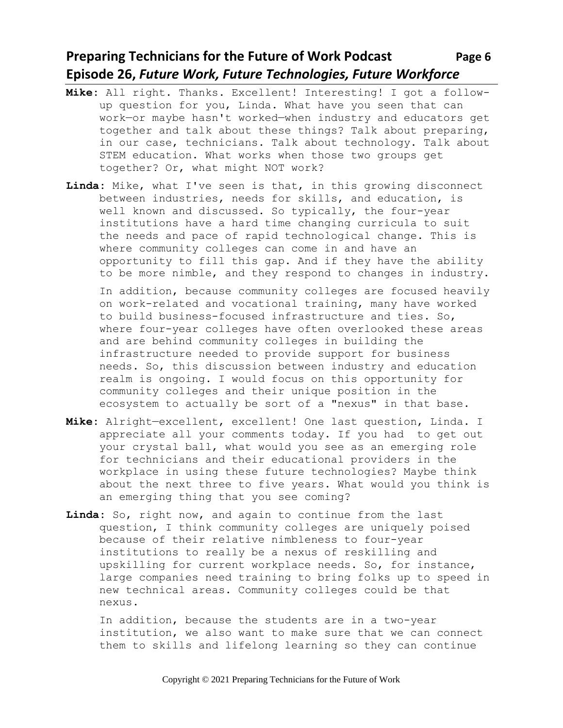## **Preparing Technicians for the Future of Work Podcast** Page 6 **Episode 26,** *Future Work, Future Technologies, Future Workforce*

- **Mike:** All right. Thanks. Excellent! Interesting! I got a followup question for you, Linda. What have you seen that can work—or maybe hasn't worked—when industry and educators get together and talk about these things? Talk about preparing, in our case, technicians. Talk about technology. Talk about STEM education. What works when those two groups get together? Or, what might NOT work?
- **Linda:** Mike, what I've seen is that, in this growing disconnect between industries, needs for skills, and education, is well known and discussed. So typically, the four-year institutions have a hard time changing curricula to suit the needs and pace of rapid technological change. This is where community colleges can come in and have an opportunity to fill this gap. And if they have the ability to be more nimble, and they respond to changes in industry.

In addition, because community colleges are focused heavily on work-related and vocational training, many have worked to build business-focused infrastructure and ties. So, where four-year colleges have often overlooked these areas and are behind community colleges in building the infrastructure needed to provide support for business needs. So, this discussion between industry and education realm is ongoing. I would focus on this opportunity for community colleges and their unique position in the ecosystem to actually be sort of a "nexus" in that base.

- **Mike:** Alright—excellent, excellent! One last question, Linda. I appreciate all your comments today. If you had to get out your crystal ball, what would you see as an emerging role for technicians and their educational providers in the workplace in using these future technologies? Maybe think about the next three to five years. What would you think is an emerging thing that you see coming?
- **Linda:** So, right now, and again to continue from the last question, I think community colleges are uniquely poised because of their relative nimbleness to four-year institutions to really be a nexus of reskilling and upskilling for current workplace needs. So, for instance, large companies need training to bring folks up to speed in new technical areas. Community colleges could be that nexus.

In addition, because the students are in a two-year institution, we also want to make sure that we can connect them to skills and lifelong learning so they can continue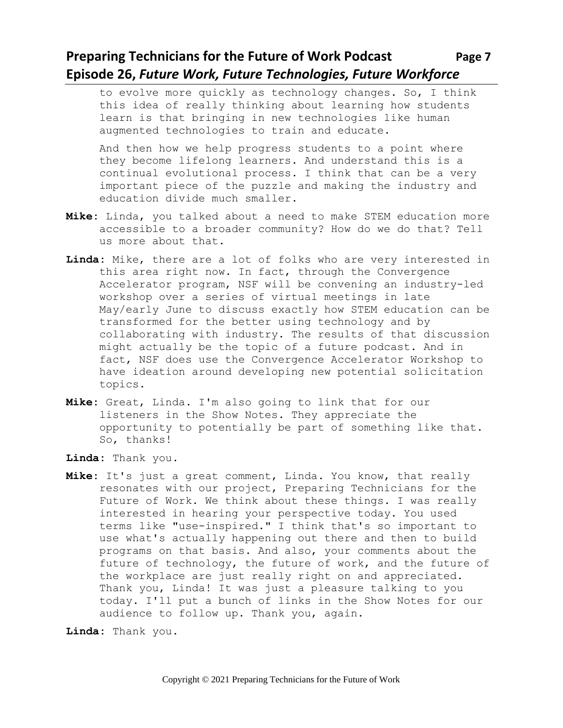#### **Preparing Technicians for the Future of Work Podcast Page 7 Episode 26,** *Future Work, Future Technologies, Future Workforce*

to evolve more quickly as technology changes. So, I think this idea of really thinking about learning how students learn is that bringing in new technologies like human augmented technologies to train and educate.

And then how we help progress students to a point where they become lifelong learners. And understand this is a continual evolutional process. I think that can be a very important piece of the puzzle and making the industry and education divide much smaller.

- **Mike:** Linda, you talked about a need to make STEM education more accessible to a broader community? How do we do that? Tell us more about that.
- **Linda:** Mike, there are a lot of folks who are very interested in this area right now. In fact, through the Convergence Accelerator program, NSF will be convening an industry-led workshop over a series of virtual meetings in late May/early June to discuss exactly how STEM education can be transformed for the better using technology and by collaborating with industry. The results of that discussion might actually be the topic of a future podcast. And in fact, NSF does use the Convergence Accelerator Workshop to have ideation around developing new potential solicitation topics.
- **Mike:** Great, Linda. I'm also going to link that for our listeners in the Show Notes. They appreciate the opportunity to potentially be part of something like that. So, thanks!
- **Linda:** Thank you.
- **Mike:** It's just a great comment, Linda. You know, that really resonates with our project, Preparing Technicians for the Future of Work. We think about these things. I was really interested in hearing your perspective today. You used terms like "use-inspired." I think that's so important to use what's actually happening out there and then to build programs on that basis. And also, your comments about the future of technology, the future of work, and the future of the workplace are just really right on and appreciated. Thank you, Linda! It was just a pleasure talking to you today. I'll put a bunch of links in the Show Notes for our audience to follow up. Thank you, again.

**Linda:** Thank you.